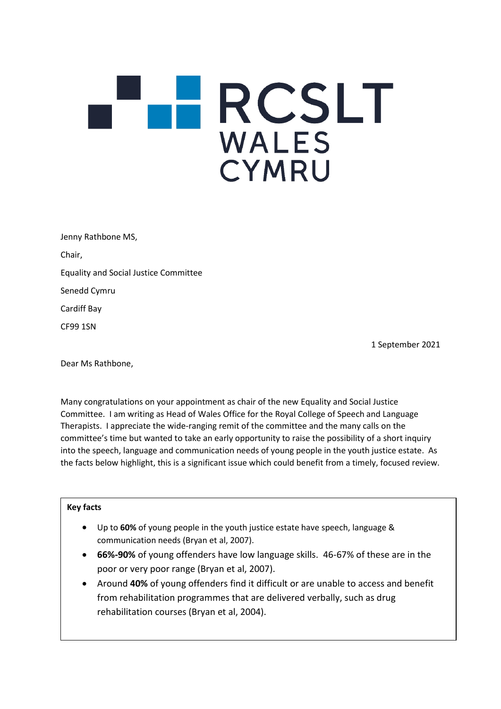## RCSLT **WALES** CYMRU

| Jenny Rathbone MS,                           |
|----------------------------------------------|
| Chair,                                       |
| <b>Equality and Social Justice Committee</b> |
| Senedd Cymru                                 |
| Cardiff Bay                                  |
| <b>CF99 1SN</b>                              |

1 September 2021

Dear Ms Rathbone,

Many congratulations on your appointment as chair of the new Equality and Social Justice Committee. I am writing as Head of Wales Office for the Royal College of Speech and Language Therapists. I appreciate the wide-ranging remit of the committee and the many calls on the committee's time but wanted to take an early opportunity to raise the possibility of a short inquiry into the speech, language and communication needs of young people in the youth justice estate. As the facts below highlight, this is a significant issue which could benefit from a timely, focused review.

## **Key facts**

- Up to **60%** of young people in the youth justice estate have speech, language & communication needs (Bryan et al, 2007).
- **66%-90%** of young offenders have low language skills. 46-67% of these are in the poor or very poor range (Bryan et al, 2007).
- Around **40%** of young offenders find it difficult or are unable to access and benefit from rehabilitation programmes that are delivered verbally, such as drug rehabilitation courses (Bryan et al, 2004).